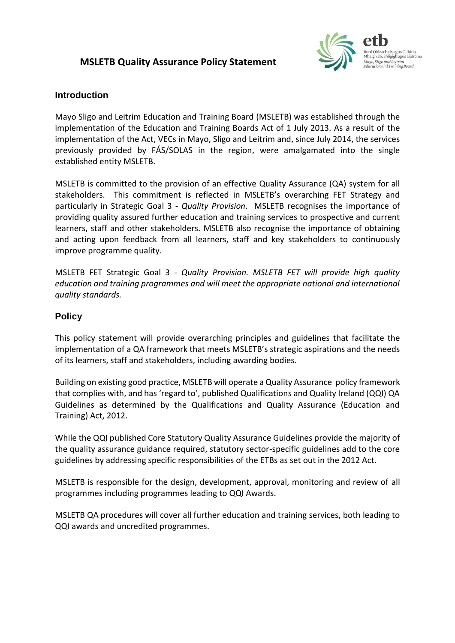# **MSLETB Quality Assurance Policy Statement**



## **Introduction**

Mayo Sligo and Leitrim Education and Training Board (MSLETB) was established through the implementation of the Education and Training Boards Act of 1 July 2013. As a result of the implementation of the Act, VECs in Mayo, Sligo and Leitrim and, since July 2014, the services previously provided by FÁS/SOLAS in the region, were amalgamated into the single established entity MSLETB.

MSLETB is committed to the provision of an effective Quality Assurance (QA) system for all stakeholders. This commitment is reflected in MSLETB's overarching FET Strategy and particularly in Strategic Goal 3 - *Quality Provision*. MSLETB recognises the importance of providing quality assured further education and training services to prospective and current learners, staff and other stakeholders. MSLETB also recognise the importance of obtaining and acting upon feedback from all learners, staff and key stakeholders to continuously improve programme quality.

MSLETB FET Strategic Goal 3 - *Quality Provision. MSLETB FET will provide high quality education and training programmes and will meet the appropriate national and international quality standards.*

## **Policy**

This policy statement will provide overarching principles and guidelines that facilitate the implementation of a QA framework that meets MSLETB's strategic aspirations and the needs of its learners, staff and stakeholders, including awarding bodies.

Building on existing good practice, MSLETB will operate a Quality Assurance policy framework that complies with, and has 'regard to', published Qualifications and Quality Ireland (QQI) QA Guidelines as determined by the Qualifications and Quality Assurance (Education and Training) Act, 2012.

While the QQI published Core Statutory Quality Assurance Guidelines provide the majority of the quality assurance guidance required, statutory sector-specific guidelines add to the core guidelines by addressing specific responsibilities of the ETBs as set out in the 2012 Act.

MSLETB is responsible for the design, development, approval, monitoring and review of all programmes including programmes leading to QQI Awards.

MSLETB QA procedures will cover all further education and training services, both leading to QQI awards and uncredited programmes.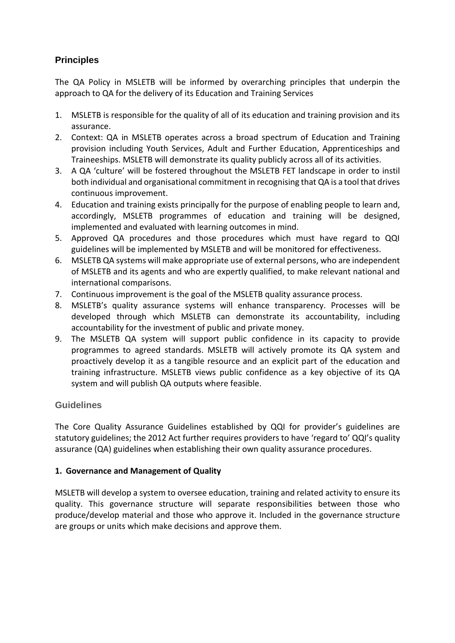# **Principles**

The QA Policy in MSLETB will be informed by overarching principles that underpin the approach to QA for the delivery of its Education and Training Services

- 1. MSLETB is responsible for the quality of all of its education and training provision and its assurance.
- 2. Context: QA in MSLETB operates across a broad spectrum of Education and Training provision including Youth Services, Adult and Further Education, Apprenticeships and Traineeships. MSLETB will demonstrate its quality publicly across all of its activities.
- 3. A QA 'culture' will be fostered throughout the MSLETB FET landscape in order to instil both individual and organisational commitment in recognising that QA is a tool that drives continuous improvement.
- 4. Education and training exists principally for the purpose of enabling people to learn and, accordingly, MSLETB programmes of education and training will be designed, implemented and evaluated with learning outcomes in mind.
- 5. Approved QA procedures and those procedures which must have regard to QQI guidelines will be implemented by MSLETB and will be monitored for effectiveness.
- 6. MSLETB QA systems will make appropriate use of external persons, who are independent of MSLETB and its agents and who are expertly qualified, to make relevant national and international comparisons.
- 7. Continuous improvement is the goal of the MSLETB quality assurance process.
- 8. MSLETB's quality assurance systems will enhance transparency. Processes will be developed through which MSLETB can demonstrate its accountability, including accountability for the investment of public and private money.
- 9. The MSLETB QA system will support public confidence in its capacity to provide programmes to agreed standards. MSLETB will actively promote its QA system and proactively develop it as a tangible resource and an explicit part of the education and training infrastructure. MSLETB views public confidence as a key objective of its QA system and will publish QA outputs where feasible.

# **Guidelines**

The Core Quality Assurance Guidelines established by QQI for provider's guidelines are statutory guidelines; the 2012 Act further requires providers to have 'regard to' QQI's quality assurance (QA) guidelines when establishing their own quality assurance procedures.

### **1. Governance and Management of Quality**

MSLETB will develop a system to oversee education, training and related activity to ensure its quality. This governance structure will separate responsibilities between those who produce/develop material and those who approve it. Included in the governance structure are groups or units which make decisions and approve them.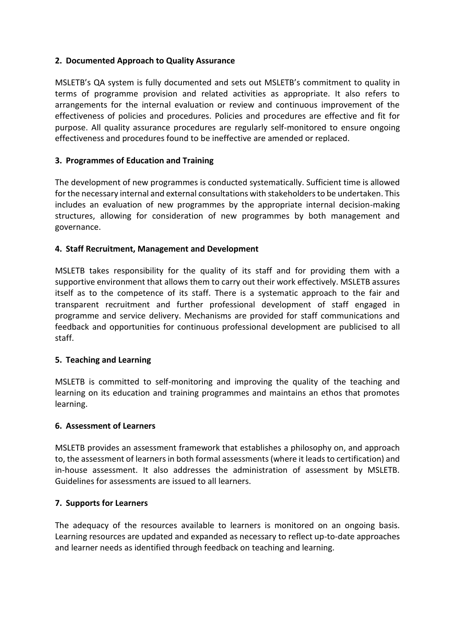### **2. Documented Approach to Quality Assurance**

MSLETB's QA system is fully documented and sets out MSLETB's commitment to quality in terms of programme provision and related activities as appropriate. It also refers to arrangements for the internal evaluation or review and continuous improvement of the effectiveness of policies and procedures. Policies and procedures are effective and fit for purpose. All quality assurance procedures are regularly self-monitored to ensure ongoing effectiveness and procedures found to be ineffective are amended or replaced.

### **3. Programmes of Education and Training**

The development of new programmes is conducted systematically. Sufficient time is allowed for the necessary internal and external consultations with stakeholders to be undertaken. This includes an evaluation of new programmes by the appropriate internal decision-making structures, allowing for consideration of new programmes by both management and governance.

### **4. Staff Recruitment, Management and Development**

MSLETB takes responsibility for the quality of its staff and for providing them with a supportive environment that allows them to carry out their work effectively. MSLETB assures itself as to the competence of its staff. There is a systematic approach to the fair and transparent recruitment and further professional development of staff engaged in programme and service delivery. Mechanisms are provided for staff communications and feedback and opportunities for continuous professional development are publicised to all staff.

#### **5. Teaching and Learning**

MSLETB is committed to self-monitoring and improving the quality of the teaching and learning on its education and training programmes and maintains an ethos that promotes learning.

#### **6. Assessment of Learners**

MSLETB provides an assessment framework that establishes a philosophy on, and approach to, the assessment of learners in both formal assessments (where it leads to certification) and in-house assessment. It also addresses the administration of assessment by MSLETB. Guidelines for assessments are issued to all learners.

#### **7. Supports for Learners**

The adequacy of the resources available to learners is monitored on an ongoing basis. Learning resources are updated and expanded as necessary to reflect up-to-date approaches and learner needs as identified through feedback on teaching and learning.